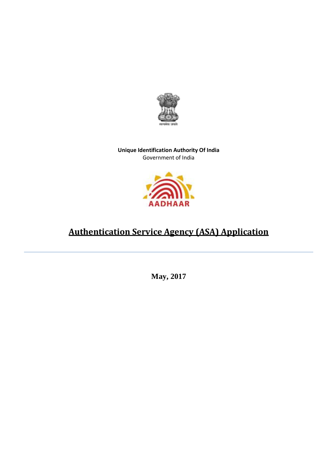

**Unique Identification Authority Of India** Government of India



## **Authentication Service Agency (ASA) Application**

**May, 2017**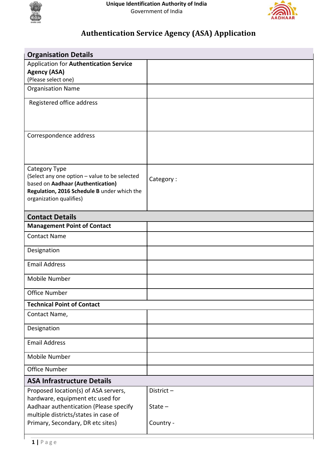



## **Authentication Service Agency (ASA) Application**

| <b>Organisation Details</b>                                                      |           |
|----------------------------------------------------------------------------------|-----------|
| <b>Application for Authentication Service</b>                                    |           |
| <b>Agency (ASA)</b>                                                              |           |
| (Please select one)                                                              |           |
| <b>Organisation Name</b>                                                         |           |
| Registered office address                                                        |           |
|                                                                                  |           |
|                                                                                  |           |
|                                                                                  |           |
| Correspondence address                                                           |           |
|                                                                                  |           |
|                                                                                  |           |
| Category Type                                                                    |           |
| (Select any one option - value to be selected                                    | Category: |
| based on Aadhaar (Authentication)<br>Regulation, 2016 Schedule B under which the |           |
| organization qualifies)                                                          |           |
|                                                                                  |           |
| <b>Contact Details</b>                                                           |           |
| <b>Management Point of Contact</b>                                               |           |
| <b>Contact Name</b>                                                              |           |
| Designation                                                                      |           |
|                                                                                  |           |
| <b>Email Address</b>                                                             |           |
| Mobile Number                                                                    |           |
| Office Number                                                                    |           |
| <b>Technical Point of Contact</b>                                                |           |
| Contact Name,                                                                    |           |
|                                                                                  |           |
| Designation                                                                      |           |
| <b>Email Address</b>                                                             |           |
| Mobile Number                                                                    |           |
| Office Number                                                                    |           |
| <b>ASA Infrastructure Details</b>                                                |           |
| Proposed location(s) of ASA servers,                                             | District- |
| hardware, equipment etc used for                                                 |           |
| Aadhaar authentication (Please specify                                           | State $-$ |
| multiple districts/states in case of                                             |           |
| Primary, Secondary, DR etc sites)                                                | Country - |

Г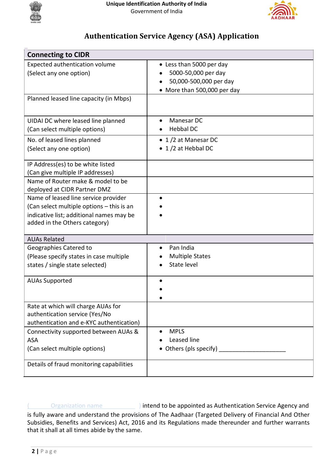



## **Authentication Service Agency (ASA) Application**

| <b>Connecting to CIDR</b>                                                                                                                                      |                                                                                                          |  |
|----------------------------------------------------------------------------------------------------------------------------------------------------------------|----------------------------------------------------------------------------------------------------------|--|
| Expected authentication volume<br>(Select any one option)                                                                                                      | • Less than 5000 per day<br>5000-50,000 per day<br>50,000-500,000 per day<br>• More than 500,000 per day |  |
| Planned leased line capacity (in Mbps)                                                                                                                         |                                                                                                          |  |
| UIDAI DC where leased line planned<br>(Can select multiple options)                                                                                            | Manesar DC<br><b>Hebbal DC</b>                                                                           |  |
| No. of leased lines planned<br>(Select any one option)                                                                                                         | • 1/2 at Manesar DC<br>• 1/2 at Hebbal DC                                                                |  |
| IP Address(es) to be white listed<br>(Can give multiple IP addresses)                                                                                          |                                                                                                          |  |
| Name of Router make & model to be<br>deployed at CIDR Partner DMZ                                                                                              |                                                                                                          |  |
| Name of leased line service provider<br>(Can select multiple options - this is an<br>indicative list; additional names may be<br>added in the Others category) |                                                                                                          |  |
| <b>AUAs Related</b>                                                                                                                                            |                                                                                                          |  |
| Geographies Catered to<br>(Please specify states in case multiple<br>states / single state selected)                                                           | Pan India<br><b>Multiple States</b><br>State level                                                       |  |
| <b>AUAs Supported</b>                                                                                                                                          |                                                                                                          |  |
| Rate at which will charge AUAs for<br>authentication service (Yes/No<br>authentication and e-KYC authentication)                                               |                                                                                                          |  |
| Connectivity supported between AUAs &<br><b>ASA</b><br>(Can select multiple options)                                                                           | <b>MPLS</b><br>Leased line<br>• Others (pls specify)                                                     |  |
| Details of fraud monitoring capabilities                                                                                                                       |                                                                                                          |  |

**Organization name (20) 11 intend to be appointed as Authentication Service Agency and** is fully aware and understand the provisions of The Aadhaar (Targeted Delivery of Financial And Other Subsidies, Benefits and Services) Act, 2016 and its Regulations made thereunder and further warrants that it shall at all times abide by the same.